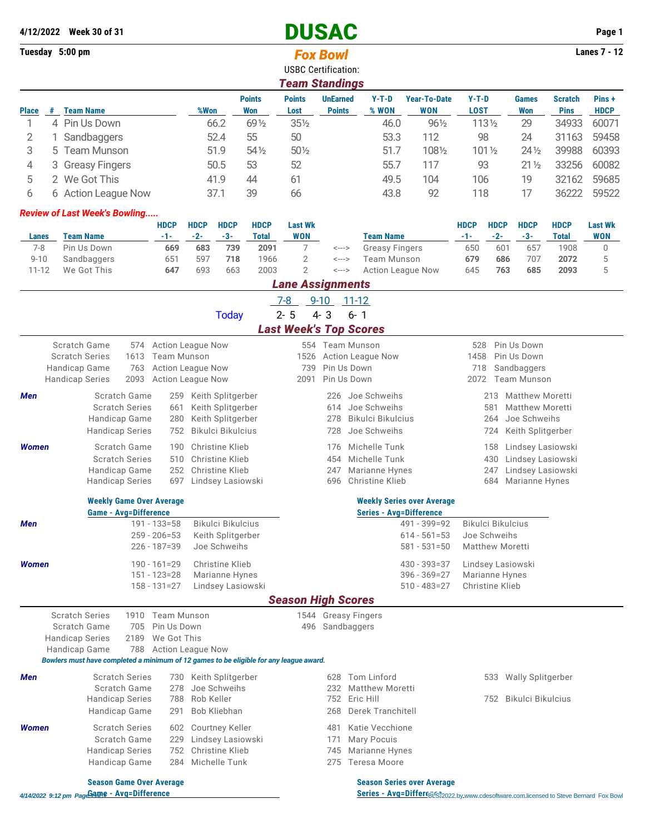|                 | 4/12/2022 Week 30 of 31                                |                                                      |                      |                                        |                             | <b>DUSAC</b>                                    |                 |                 |                              |                                      |                      |                                        |                                               |                      | Page 1                       |  |
|-----------------|--------------------------------------------------------|------------------------------------------------------|----------------------|----------------------------------------|-----------------------------|-------------------------------------------------|-----------------|-----------------|------------------------------|--------------------------------------|----------------------|----------------------------------------|-----------------------------------------------|----------------------|------------------------------|--|
| Tuesday 5:00 pm |                                                        |                                                      |                      |                                        |                             |                                                 | <b>Fox Bowl</b> |                 |                              |                                      |                      |                                        |                                               |                      | <b>Lanes 7 - 12</b>          |  |
|                 |                                                        |                                                      |                      |                                        |                             | <b>USBC Certification:</b>                      |                 |                 |                              |                                      |                      |                                        |                                               |                      |                              |  |
|                 |                                                        |                                                      |                      |                                        |                             | <b>Team Standings</b>                           |                 |                 |                              |                                      |                      |                                        |                                               |                      |                              |  |
|                 |                                                        |                                                      |                      |                                        | <b>Points</b>               | <b>Points</b>                                   | <b>UnEarned</b> |                 | $Y-T-D$                      | <b>Year-To-Date</b>                  | $Y-T-D$              |                                        | <b>Games</b>                                  | <b>Scratch</b>       | Pins+                        |  |
| <b>Place</b>    | # Team Name                                            |                                                      | %Won                 |                                        | <b>Won</b>                  | Lost                                            | <b>Points</b>   |                 | % WON                        | <b>WON</b>                           | <b>LOST</b>          |                                        | <b>Won</b>                                    | <b>Pins</b>          | <b>HDCP</b>                  |  |
| 1               | 4 Pin Us Down                                          |                                                      |                      | 66.2                                   | 69 1/2                      | 351/2                                           |                 |                 | 46.0                         | 961/2                                |                      | 1131/2                                 | 29                                            | 34933                | 60071                        |  |
| 2<br>1          | Sandbaggers                                            |                                                      |                      | 52.4                                   | 55                          | 50                                              |                 |                 | 53.3                         | 112                                  |                      | 98                                     | 24                                            | 31163                | 59458                        |  |
| 3               | 5.<br><b>Team Munson</b>                               |                                                      |                      | 51.9                                   | $54\%$                      | 501/2                                           |                 |                 | 51.7                         | 1081/2                               |                      | 101 1/2                                | $24\frac{1}{2}$                               | 39988                | 60393                        |  |
| 4<br>3          | <b>Greasy Fingers</b>                                  |                                                      |                      | 50.5                                   | 53                          | 52                                              |                 |                 | 55.7                         | 117                                  |                      | 93                                     | $21\frac{1}{2}$                               | 33256                | 60082                        |  |
| 5               | 2 We Got This                                          |                                                      |                      | 41.9                                   | 44                          | 61                                              |                 |                 | 49.5                         | 104                                  | 106                  |                                        | 19                                            | 32162                | 59685                        |  |
| 6               | 6 Action League Now                                    |                                                      |                      | 37.1                                   | 39                          | 66                                              |                 |                 | 43.8                         | 92                                   | 118                  |                                        | 17                                            | 36222                | 59522                        |  |
|                 | <b>Review of Last Week's Bowling</b>                   |                                                      |                      |                                        |                             |                                                 |                 |                 |                              |                                      |                      |                                        |                                               |                      |                              |  |
| Lanes           | <b>Team Name</b>                                       | <b>HDCP</b><br>-1-                                   | <b>HDCP</b><br>$-2-$ | <b>HDCP</b><br>$-3-$                   | <b>HDCP</b><br><b>Total</b> | <b>Last Wk</b><br><b>WON</b>                    |                 |                 | <b>Team Name</b>             |                                      | <b>HDCP</b><br>$-1-$ | <b>HDCP</b><br>$-2-$                   | <b>HDCP</b><br>$-3-$                          | <b>HDCP</b><br>Total | <b>Last Wk</b><br><b>WON</b> |  |
| $7 - 8$         | Pin Us Down                                            | 669                                                  | 683                  | 739                                    | 2091                        | 7                                               | <--->           |                 | <b>Greasy Fingers</b>        |                                      | 650                  | 601                                    | 657                                           | 1908                 | 0                            |  |
| $9 - 10$        | Sandbaggers                                            | 651                                                  | 597                  | 718                                    | 1966                        | $\overline{2}$                                  | <--->           |                 | Team Munson                  |                                      | 679                  | 686                                    | 707                                           | 2072                 | 5                            |  |
| $11 - 12$       | We Got This                                            | 647                                                  | 693                  | 663                                    | 2003                        | $\overline{2}$                                  | <--->           |                 |                              | <b>Action League Now</b>             | 645                  | 763                                    | 685                                           | 2093                 | 5                            |  |
|                 |                                                        |                                                      |                      |                                        |                             | <b>Lane Assignments</b>                         |                 |                 |                              |                                      |                      |                                        |                                               |                      |                              |  |
|                 |                                                        |                                                      |                      |                                        |                             | $7-8$                                           | $9 - 10$        | $11 - 12$       |                              |                                      |                      |                                        |                                               |                      |                              |  |
|                 |                                                        |                                                      |                      | <b>Today</b>                           |                             | $2 - 5$                                         | $4 - 3$         | $6 - 1$         |                              |                                      |                      |                                        |                                               |                      |                              |  |
|                 |                                                        |                                                      |                      |                                        |                             | <b>Last Week's Top Scores</b>                   |                 |                 |                              |                                      |                      |                                        |                                               |                      |                              |  |
|                 | Scratch Game<br>574                                    | <b>Action League Now</b>                             |                      |                                        |                             |                                                 |                 | 554 Team Munson |                              |                                      | 528                  |                                        | Pin Us Down                                   |                      |                              |  |
|                 | 1613<br><b>Scratch Series</b>                          | <b>Team Munson</b>                                   |                      |                                        |                             | 1526<br><b>Action League Now</b><br>Pin Us Down |                 |                 |                              |                                      |                      | 1458<br>Pin Us Down                    |                                               |                      |                              |  |
|                 | Handicap Game<br>763<br>2093<br><b>Handicap Series</b> | <b>Action League Now</b><br><b>Action League Now</b> |                      |                                        |                             | 739<br>2091                                     |                 | Pin Us Down     |                              |                                      | 718<br>2072          |                                        | Sandbaggers<br><b>Team Munson</b>             |                      |                              |  |
|                 |                                                        |                                                      |                      |                                        |                             |                                                 |                 |                 |                              |                                      |                      |                                        |                                               |                      |                              |  |
| Men             | Scratch Game<br><b>Scratch Series</b>                  | 259<br>661                                           |                      | Keith Splitgerber<br>Keith Splitgerber |                             |                                                 | 226<br>614      |                 | Joe Schweihs<br>Joe Schweihs |                                      |                      | 581                                    | 213 Matthew Moretti<br><b>Matthew Moretti</b> |                      |                              |  |
|                 | Handicap Game                                          | 280                                                  |                      | Keith Splitgerber                      |                             |                                                 | 278             |                 | Bikulci Bikulcius            |                                      |                      | 264                                    | Joe Schweihs                                  |                      |                              |  |
|                 | <b>Handicap Series</b>                                 | 752                                                  |                      | <b>Bikulci Bikulcius</b>               |                             |                                                 | 728             |                 | Joe Schweihs                 |                                      |                      | 724                                    | Keith Splitgerber                             |                      |                              |  |
| <b>Women</b>    | Scratch Game                                           | 190                                                  |                      | Christine Klieb                        |                             |                                                 | 176             |                 | Michelle Tunk                |                                      |                      | 158                                    | Lindsey Lasiowski                             |                      |                              |  |
|                 | <b>Scratch Series</b>                                  | 510                                                  |                      | Christine Klieb                        |                             |                                                 | 454             |                 | Michelle Tunk                |                                      |                      | 430                                    | Lindsey Lasiowski                             |                      |                              |  |
|                 | Handicap Game                                          | 252                                                  |                      | Christine Klieb                        |                             |                                                 | 247             |                 | Marianne Hynes               |                                      |                      | 247                                    | Lindsey Lasiowski                             |                      |                              |  |
|                 | <b>Handicap Series</b>                                 | 697                                                  |                      | Lindsey Lasiowski                      |                             |                                                 | 696             |                 | Christine Klieb              |                                      |                      | 684                                    | Marianne Hynes                                |                      |                              |  |
|                 | <b>Weekly Game Over Average</b>                        |                                                      |                      |                                        |                             |                                                 |                 |                 |                              | <b>Weekly Series over Average</b>    |                      |                                        |                                               |                      |                              |  |
|                 | <b>Game - Avg=Difference</b>                           |                                                      |                      |                                        |                             |                                                 |                 |                 |                              | <b>Series - Avg=Difference</b>       |                      |                                        |                                               |                      |                              |  |
| Men             |                                                        | $191 - 133 = 58$                                     |                      | Bikulci Bikulcius                      |                             |                                                 |                 |                 |                              | 491 - 399=92                         |                      | Bikulci Bikulcius                      |                                               |                      |                              |  |
|                 |                                                        | $259 - 206 = 53$<br>$226 - 187 = 39$                 |                      | Keith Splitgerber<br>Joe Schweihs      |                             |                                                 |                 |                 |                              | $614 - 561 = 53$<br>$581 - 531 = 50$ |                      | Joe Schweihs<br><b>Matthew Moretti</b> |                                               |                      |                              |  |
|                 |                                                        |                                                      |                      | Christine Klieb                        |                             |                                                 |                 |                 |                              |                                      |                      |                                        |                                               |                      |                              |  |
| <b>Women</b>    |                                                        | $190 - 161 = 29$<br>$151 - 123 = 28$                 |                      | Marianne Hynes                         |                             |                                                 |                 |                 |                              | 430 - 393=37<br>$396 - 369 = 27$     |                      | Lindsey Lasiowski<br>Marianne Hynes    |                                               |                      |                              |  |
|                 |                                                        | $158 - 131 = 27$                                     |                      | Lindsey Lasiowski                      |                             |                                                 |                 |                 |                              | $510 - 483 = 27$                     |                      | Christine Klieb                        |                                               |                      |                              |  |
|                 |                                                        |                                                      |                      |                                        |                             |                                                 |                 |                 |                              |                                      |                      |                                        |                                               |                      |                              |  |

## *Season High Scores*

|              | <b>Scratch Series</b><br>Scratch Game<br><b>Handicap Series</b> | 2189 | 1910 Team Munson<br>705 Pin Us Down<br>We Got This |                                                                                        | 1544 |     | <b>Greasy Fingers</b><br>496 Sandbaggers |     |                   |
|--------------|-----------------------------------------------------------------|------|----------------------------------------------------|----------------------------------------------------------------------------------------|------|-----|------------------------------------------|-----|-------------------|
|              | Handicap Game                                                   |      |                                                    | 788 Action League Now                                                                  |      |     |                                          |     |                   |
|              |                                                                 |      |                                                    | Bowlers must have completed a minimum of 12 games to be eligible for any league award. |      |     |                                          |     |                   |
| <b>Men</b>   | <b>Scratch Series</b>                                           |      | 730.                                               | Keith Splitgerber                                                                      |      | 628 | Tom Linford                              | 533 | Wally Splitgerber |
|              | Scratch Game                                                    |      | 278                                                | Joe Schweihs                                                                           |      | 232 | Matthew Moretti                          |     |                   |
|              | <b>Handicap Series</b>                                          |      |                                                    | 788 Rob Keller                                                                         |      |     | 752 Eric Hill                            | 752 | Bikulci Bikulcius |
|              | Handicap Game                                                   |      |                                                    | 291 Bob Kliebhan                                                                       |      |     | 268 Derek Tranchitell                    |     |                   |
| <b>Women</b> | <b>Scratch Series</b>                                           |      |                                                    | 602 Courtney Keller                                                                    |      | 481 | Katie Vecchione                          |     |                   |
|              | Scratch Game                                                    |      | 229                                                | Lindsey Lasiowski                                                                      |      | 171 | Mary Pocuis                              |     |                   |
|              | <b>Handicap Series</b>                                          |      |                                                    | 752 Christine Klieb                                                                    |      |     | 745 Marianne Hynes                       |     |                   |
|              | Handicap Game                                                   |      |                                                    | 284 Michelle Tunk                                                                      |      | 275 | Teresa Moore                             |     |                   |

**Season Game Over Average Season Series over Average Season Series over Average Season Series over Average Series - Avg=Difference Series - Avg=Difference Series - Avg=Difference Series - Avg=Differc B**C<sub>2022</sub> by [www.cdesoftware.com l](www.cdesoftware.com)icensed to Steve Bernard Fox Bowl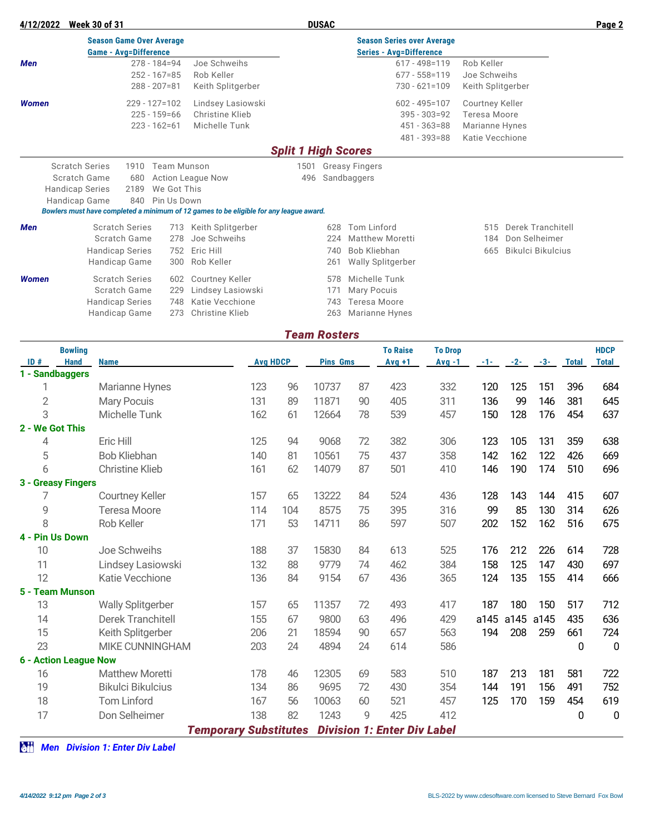| 4/12/2022                                       | <b>Week 30 of 31</b>                                                                   |                    |                        |                                | <b>DUSAC</b>     |                                   |                        |                   | Page 2 |  |  |  |
|-------------------------------------------------|----------------------------------------------------------------------------------------|--------------------|------------------------|--------------------------------|------------------|-----------------------------------|------------------------|-------------------|--------|--|--|--|
|                                                 | <b>Season Game Over Average</b>                                                        |                    |                        |                                |                  | <b>Season Series over Average</b> |                        |                   |        |  |  |  |
|                                                 | <b>Game - Avg=Difference</b>                                                           |                    |                        | <b>Series - Avg=Difference</b> |                  |                                   |                        |                   |        |  |  |  |
| <b>Men</b>                                      | $278 - 184 = 94$                                                                       |                    | Joe Schweihs           |                                |                  | $617 - 498 = 119$                 | Rob Keller             |                   |        |  |  |  |
|                                                 | $252 - 167 = 85$                                                                       |                    | Rob Keller             |                                |                  | $677 - 558 = 119$                 | Joe Schweihs           |                   |        |  |  |  |
|                                                 | $288 - 207 = 81$                                                                       |                    | Keith Splitgerber      |                                |                  | $730 - 621 = 109$                 | Keith Splitgerber      |                   |        |  |  |  |
| <b>Women</b>                                    | $229 - 127 = 102$                                                                      |                    | Lindsey Lasiowski      |                                |                  | $602 - 495 = 107$                 | <b>Courtney Keller</b> |                   |        |  |  |  |
|                                                 | $225 - 159 = 66$                                                                       |                    | Christine Klieb        |                                |                  | $395 - 303 = 92$                  | Teresa Moore           |                   |        |  |  |  |
|                                                 | $223 - 162 = 61$                                                                       | Michelle Tunk      |                        |                                | $451 - 363 = 88$ | Marianne Hynes                    |                        |                   |        |  |  |  |
|                                                 |                                                                                        |                    |                        |                                |                  | $481 - 393 = 88$                  | Katie Vecchione        |                   |        |  |  |  |
|                                                 |                                                                                        |                    |                        | <b>Split 1 High Scores</b>     |                  |                                   |                        |                   |        |  |  |  |
|                                                 | <b>Scratch Series</b><br>1910                                                          | <b>Team Munson</b> |                        | 1501                           |                  | <b>Greasy Fingers</b>             |                        |                   |        |  |  |  |
| Scratch Game<br>680<br><b>Action League Now</b> |                                                                                        | 496                |                        | Sandbaggers                    |                  |                                   |                        |                   |        |  |  |  |
|                                                 | 2189<br><b>Handicap Series</b>                                                         | We Got This        |                        |                                |                  |                                   |                        |                   |        |  |  |  |
|                                                 | Handicap Game<br>840                                                                   | Pin Us Down        |                        |                                |                  |                                   |                        |                   |        |  |  |  |
|                                                 | Bowlers must have completed a minimum of 12 games to be eligible for any league award. |                    |                        |                                |                  |                                   |                        |                   |        |  |  |  |
| <b>Men</b>                                      | <b>Scratch Series</b>                                                                  | 713                | Keith Splitgerber      |                                | 628              | Tom Linford                       | 515                    | Derek Tranchitell |        |  |  |  |
|                                                 | Scratch Game                                                                           | 278                | Joe Schweihs           |                                | 224              | <b>Matthew Moretti</b>            | 184                    | Don Selheimer     |        |  |  |  |
|                                                 | <b>Handicap Series</b>                                                                 | 752                | Eric Hill              |                                | 740              | Bob Kliebhan                      | 665                    | Bikulci Bikulcius |        |  |  |  |
|                                                 | <b>Handicap Game</b>                                                                   | 300                | Rob Keller             |                                | 261              | Wally Splitgerber                 |                        |                   |        |  |  |  |
| <b>Women</b>                                    | <b>Scratch Series</b>                                                                  | 602                | <b>Courtney Keller</b> |                                | 578              | Michelle Tunk                     |                        |                   |        |  |  |  |
|                                                 | Scratch Game                                                                           | 229                | Lindsey Lasiowski      |                                | 171              | Mary Pocuis                       |                        |                   |        |  |  |  |
|                                                 | <b>Handicap Series</b>                                                                 | 748                | Katie Vecchione        |                                | 743              | Teresa Moore                      |                        |                   |        |  |  |  |
|                                                 | <b>Handicap Game</b>                                                                   | 273                | Christine Klieb        |                                | 263              | Marianne Hynes                    |                        |                   |        |  |  |  |

## *Team Rosters*

|                 | <b>Bowling</b>               |                          |                              |     |                 |    | <b>To Raise</b>                    | <b>To Drop</b> |       |       |       |              | <b>HDCP</b>  |
|-----------------|------------------------------|--------------------------|------------------------------|-----|-----------------|----|------------------------------------|----------------|-------|-------|-------|--------------|--------------|
| ID#             | <b>Hand</b>                  | <b>Name</b>              | <b>Avg HDCP</b>              |     | <b>Pins Gms</b> |    | $Avg +1$                           | $Avg -1$       | $-1-$ | $-2-$ | $-3-$ | <b>Total</b> | <b>Total</b> |
|                 | 1 - Sandbaggers              |                          |                              |     |                 |    |                                    |                |       |       |       |              |              |
| 1               |                              | Marianne Hynes           | 123                          | 96  | 10737           | 87 | 423                                | 332            | 120   | 125   | 151   | 396          | 684          |
| $\mathbf{2}$    |                              | <b>Mary Pocuis</b>       | 131                          | 89  | 11871           | 90 | 405                                | 311            | 136   | 99    | 146   | 381          | 645          |
| 3               |                              | Michelle Tunk            | 162                          | 61  | 12664           | 78 | 539                                | 457            | 150   | 128   | 176   | 454          | 637          |
| 2 - We Got This |                              |                          |                              |     |                 |    |                                    |                |       |       |       |              |              |
| 4               |                              | Eric Hill                | 125                          | 94  | 9068            | 72 | 382                                | 306            | 123   | 105   | 131   | 359          | 638          |
| 5               |                              | <b>Bob Kliebhan</b>      | 140                          | 81  | 10561           | 75 | 437                                | 358            | 142   | 162   | 122   | 426          | 669          |
| 6               |                              | <b>Christine Klieb</b>   | 161                          | 62  | 14079           | 87 | 501                                | 410            | 146   | 190   | 174   | 510          | 696          |
|                 | 3 - Greasy Fingers           |                          |                              |     |                 |    |                                    |                |       |       |       |              |              |
|                 |                              | <b>Courtney Keller</b>   | 157                          | 65  | 13222           | 84 | 524                                | 436            | 128   | 143   | 144   | 415          | 607          |
| 9               |                              | <b>Teresa Moore</b>      | 114                          | 104 | 8575            | 75 | 395                                | 316            | 99    | 85    | 130   | 314          | 626          |
| 8               |                              | Rob Keller               | 171                          | 53  | 14711           | 86 | 597                                | 507            | 202   | 152   | 162   | 516          | 675          |
|                 | 4 - Pin Us Down              |                          |                              |     |                 |    |                                    |                |       |       |       |              |              |
| 10              |                              | Joe Schweihs             | 188                          | 37  | 15830           | 84 | 613                                | 525            | 176   | 212   | 226   | 614          | 728          |
| 11              |                              | Lindsey Lasiowski        | 132                          | 88  | 9779            | 74 | 462                                | 384            | 158   | 125   | 147   | 430          | 697          |
| 12              |                              | Katie Vecchione          | 136                          | 84  | 9154            | 67 | 436                                | 365            | 124   | 135   | 155   | 414          | 666          |
|                 | 5 - Team Munson              |                          |                              |     |                 |    |                                    |                |       |       |       |              |              |
| 13              |                              | <b>Wally Splitgerber</b> | 157                          | 65  | 11357           | 72 | 493                                | 417            | 187   | 180   | 150   | 517          | 712          |
| 14              |                              | Derek Tranchitell        | 155                          | 67  | 9800            | 63 | 496                                | 429            | a145  | a145  | a145  | 435          | 636          |
| 15              |                              | Keith Splitgerber        | 206                          | 21  | 18594           | 90 | 657                                | 563            | 194   | 208   | 259   | 661          | 724          |
| 23              |                              | <b>MIKE CUNNINGHAM</b>   | 203                          | 24  | 4894            | 24 | 614                                | 586            |       |       |       | 0            | $\mathbf 0$  |
|                 | <b>6 - Action League Now</b> |                          |                              |     |                 |    |                                    |                |       |       |       |              |              |
| 16              |                              | <b>Matthew Moretti</b>   | 178                          | 46  | 12305           | 69 | 583                                | 510            | 187   | 213   | 181   | 581          | 722          |
| 19              |                              | <b>Bikulci Bikulcius</b> | 134                          | 86  | 9695            | 72 | 430                                | 354            | 144   | 191   | 156   | 491          | 752          |
| 18              |                              | <b>Tom Linford</b>       | 167                          | 56  | 10063           | 60 | 521                                | 457            | 125   | 170   | 159   | 454          | 619          |
| 17              |                              | Don Selheimer            | 138                          | 82  | 1243            | 9  | 425                                | 412            |       |       |       | 0            | $\mathbf 0$  |
|                 |                              |                          | <b>Temporary Substitutes</b> |     |                 |    | <b>Division 1: Enter Div Label</b> |                |       |       |       |              |              |
|                 |                              |                          |                              |     |                 |    |                                    |                |       |       |       |              |              |

*AH* Men Division 1: Enter Div Label